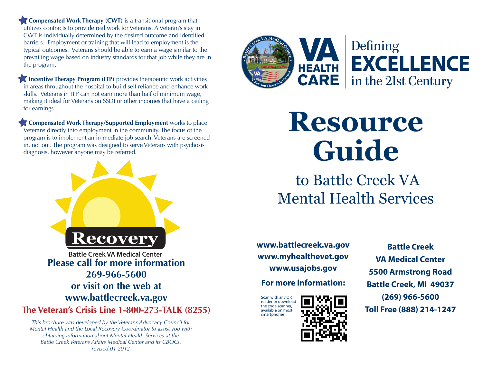**Compensated Work Therapy (CWT)** is a transitional program that utilizes contracts to provide real work for Veterans. A Veteran's stay in CWT is individually determined by the desired outcome and identified barriers. Employment or training that will lead to employment is the typical outcomes. Veterans should be able to earn a wage similar to the prevailing wage based on industry standards for that job while they are in the program.

**Incentive Therapy Program (ITP)** provides therapeutic work activities in areas throughout the hospital to build self reliance and enhance work skills. Veterans in ITP can not earn more than half of minimum wage, making it ideal for Veterans on SSDI or other incomes that have a ceiling for earnings.

**Compensated Work Therapy/Supported Employment** works to place Veterans directly into employment in the community. The focus of the program is to implement an immediate job search. Veterans are screened in, not out. The program was designed to serve Veterans with psychosis diagnosis, however anyone may be referred.



*This brochure was developed by the Veterans Advocacy Council for Mental Health and the Local Recovery Coordinator to assist you with obtaining information about Mental Health Services at the Battle Creek Veterans Affairs Medical Center and its CBOCs. revised 01-2012*



Defining **EXCELLENCE** in the 21st Century

**Resource Guide**

 to Battle Creek VA Mental Health Services

**www.battlecreek.va.gov www.myhealthevet.gov www.usajobs.gov**

**For more information:**

Scan with any QR reader or download the code scanner, available on most smartphones.



**Battle Creek VA Medical Center 5500 Armstrong Road Battle Creek, MI 49037 (269) 966-5600 Toll Free (888) 214-1247**